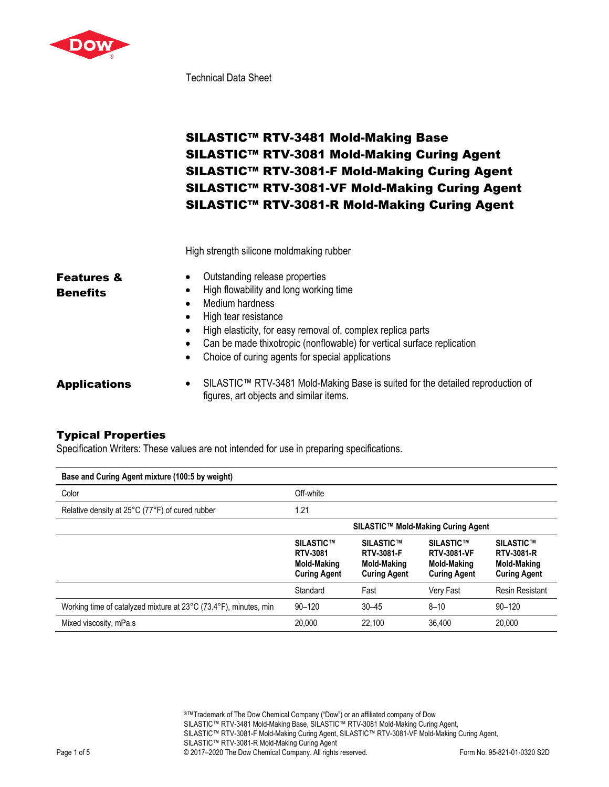

Technical Data Sheet

# SILASTIC™ RTV-3481 Mold-Making Base SILASTIC™ RTV-3081 Mold-Making Curing Agent SILASTIC™ RTV-3081-F Mold-Making Curing Agent SILASTIC™ RTV-3081-VF Mold-Making Curing Agent SILASTIC™ RTV-3081-R Mold-Making Curing Agent

High strength silicone moldmaking rubber

| <b>Features &amp;</b> | Outstanding release properties<br>$\bullet$                                         |  |  |  |  |
|-----------------------|-------------------------------------------------------------------------------------|--|--|--|--|
| <b>Benefits</b>       | • High flowability and long working time                                            |  |  |  |  |
|                       | Medium hardness                                                                     |  |  |  |  |
|                       | • High tear resistance                                                              |  |  |  |  |
|                       | • High elasticity, for easy removal of, complex replica parts                       |  |  |  |  |
|                       | Can be made thixotropic (nonflowable) for vertical surface replication<br>$\bullet$ |  |  |  |  |
|                       | Choice of curing agents for special applications<br>$\bullet$                       |  |  |  |  |
| Annliaatiana          | SILASTIC TM RTV-3481 Mold-Making Rase is suited for the detailed re                 |  |  |  |  |

Applications • SILASTIC™ RTV-3481 Mold-Making Base is suited for the detailed reproduction of figures, art objects and similar items.

## Typical Properties

Specification Writers: These values are not intended for use in preparing specifications.

| Base and Curing Agent mixture (100:5 by weight)                  |                                                                           |                                                                             |                                                                       |                                                                             |
|------------------------------------------------------------------|---------------------------------------------------------------------------|-----------------------------------------------------------------------------|-----------------------------------------------------------------------|-----------------------------------------------------------------------------|
| Color                                                            | Off-white                                                                 |                                                                             |                                                                       |                                                                             |
| Relative density at 25°C (77°F) of cured rubber                  | 1.21                                                                      |                                                                             |                                                                       |                                                                             |
|                                                                  |                                                                           |                                                                             | SILASTIC™ Mold-Making Curing Agent                                    |                                                                             |
|                                                                  | SILASTIC™<br><b>RTV-3081</b><br><b>Mold-Making</b><br><b>Curing Agent</b> | SILASTIC™<br><b>RTV-3081-F</b><br><b>Mold-Making</b><br><b>Curing Agent</b> | SILASTIC™<br><b>RTV-3081-VF</b><br>Mold-Making<br><b>Curing Agent</b> | SILASTIC™<br><b>RTV-3081-R</b><br><b>Mold-Making</b><br><b>Curing Agent</b> |
|                                                                  | Standard                                                                  | Fast                                                                        | Very Fast                                                             | <b>Resin Resistant</b>                                                      |
| Working time of catalyzed mixture at 23°C (73.4°F), minutes, min | $90 - 120$                                                                | $30 - 45$                                                                   | $8 - 10$                                                              | $90 - 120$                                                                  |
| Mixed viscosity, mPa.s                                           | 20,000                                                                    | 22.100                                                                      | 36.400                                                                | 20,000                                                                      |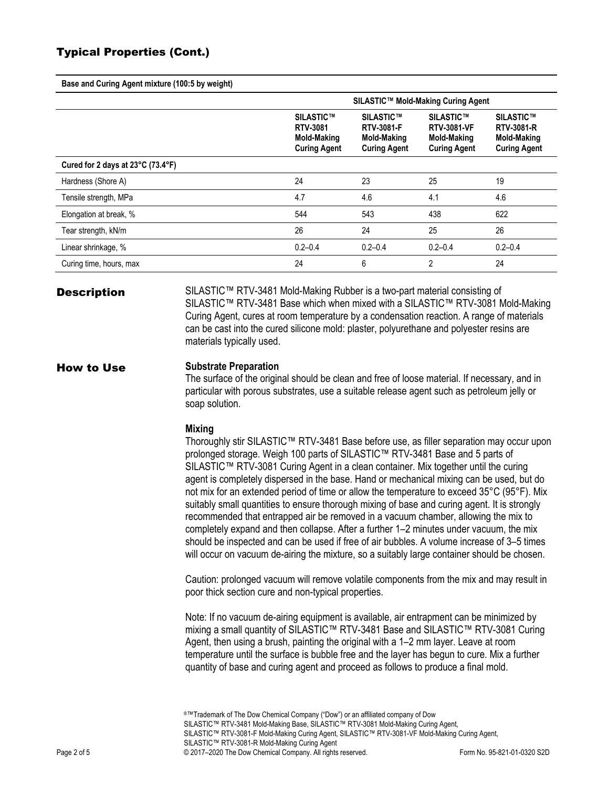## Typical Properties (Cont.)

**Base and Curing Agent mixture (100:5 by weight)**

|                                                        | SILASTIC™ Mold-Making Curing Agent                                        |                                                                                    |                                                                              |                                                                             |  |
|--------------------------------------------------------|---------------------------------------------------------------------------|------------------------------------------------------------------------------------|------------------------------------------------------------------------------|-----------------------------------------------------------------------------|--|
|                                                        | SILASTIC™<br><b>RTV-3081</b><br><b>Mold-Making</b><br><b>Curing Agent</b> | <b>SILASTIC™</b><br><b>RTV-3081-F</b><br><b>Mold-Making</b><br><b>Curing Agent</b> | SILASTIC™<br><b>RTV-3081-VF</b><br><b>Mold-Making</b><br><b>Curing Agent</b> | SILASTIC™<br><b>RTV-3081-R</b><br><b>Mold-Making</b><br><b>Curing Agent</b> |  |
| Cured for 2 days at $23^{\circ}$ C (73.4 $^{\circ}$ F) |                                                                           |                                                                                    |                                                                              |                                                                             |  |
| Hardness (Shore A)                                     | 24                                                                        | 23                                                                                 | 25                                                                           | 19                                                                          |  |
| Tensile strength, MPa                                  | 4.7                                                                       | 4.6                                                                                | 4.1                                                                          | 4.6                                                                         |  |
| Elongation at break, %                                 | 544                                                                       | 543                                                                                | 438                                                                          | 622                                                                         |  |
| Tear strength, kN/m                                    | 26                                                                        | 24                                                                                 | 25                                                                           | 26                                                                          |  |
| Linear shrinkage, %                                    | $0.2 - 0.4$                                                               | $0.2 - 0.4$                                                                        | $0.2 - 0.4$                                                                  | $0.2 - 0.4$                                                                 |  |
| Curing time, hours, max                                | 24                                                                        | 6                                                                                  | $\mathfrak{p}$                                                               | 24                                                                          |  |

**Description** SILASTIC<sup>™</sup> RTV-3481 Mold-Making Rubber is a two-part material consisting of SILASTIC™ RTV-3481 Base which when mixed with a SILASTIC™ RTV-3081 Mold-Making Curing Agent, cures at room temperature by a condensation reaction. A range of materials can be cast into the cured silicone mold: plaster, polyurethane and polyester resins are materials typically used.

#### How to Use **Substrate Preparation**

The surface of the original should be clean and free of loose material. If necessary, and in particular with porous substrates, use a suitable release agent such as petroleum jelly or soap solution.

#### **Mixing**

Thoroughly stir SILASTIC™ RTV-3481 Base before use, as filler separation may occur upon prolonged storage. Weigh 100 parts of SILASTIC™ RTV-3481 Base and 5 parts of SILASTIC™ RTV-3081 Curing Agent in a clean container. Mix together until the curing agent is completely dispersed in the base. Hand or mechanical mixing can be used, but do not mix for an extended period of time or allow the temperature to exceed 35°C (95°F). Mix suitably small quantities to ensure thorough mixing of base and curing agent. It is strongly recommended that entrapped air be removed in a vacuum chamber, allowing the mix to completely expand and then collapse. After a further 1–2 minutes under vacuum, the mix should be inspected and can be used if free of air bubbles. A volume increase of 3–5 times will occur on vacuum de-airing the mixture, so a suitably large container should be chosen.

Caution: prolonged vacuum will remove volatile components from the mix and may result in poor thick section cure and non-typical properties.

Note: If no vacuum de-airing equipment is available, air entrapment can be minimized by mixing a small quantity of SILASTIC™ RTV-3481 Base and SILASTIC™ RTV-3081 Curing Agent, then using a brush, painting the original with a 1–2 mm layer. Leave at room temperature until the surface is bubble free and the layer has begun to cure. Mix a further quantity of base and curing agent and proceed as follows to produce a final mold.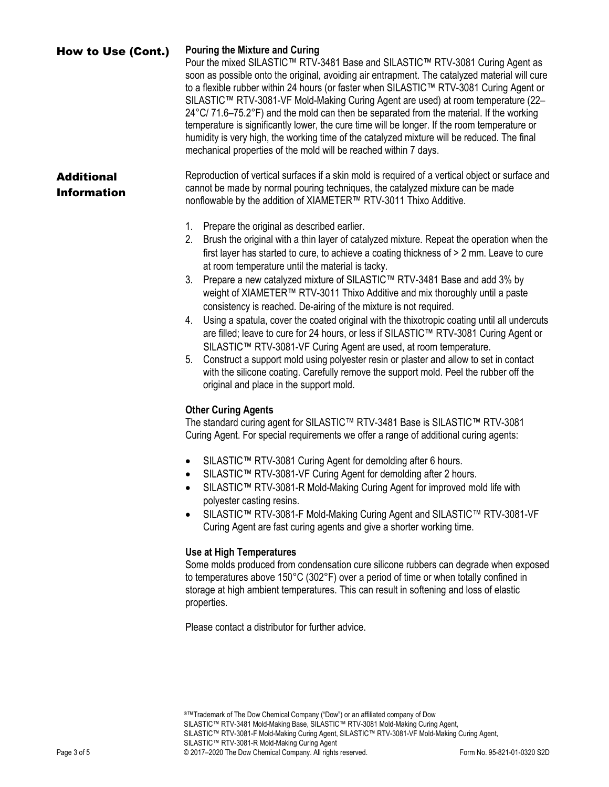### How to Use (Cont.) **Pouring the Mixture and Curing** Pour the mixed SILASTIC™ RTV-3481 Base and SILASTIC™ RTV-3081 Curing Agent as soon as possible onto the original, avoiding air entrapment. The catalyzed material will cure to a flexible rubber within 24 hours (or faster when SILASTIC™ RTV-3081 Curing Agent or SILASTIC™ RTV-3081-VF Mold-Making Curing Agent are used) at room temperature (22–  $24^{\circ}$ C/ 71.6–75.2 $^{\circ}$ F) and the mold can then be separated from the material. If the working temperature is significantly lower, the cure time will be longer. If the room temperature or humidity is very high, the working time of the catalyzed mixture will be reduced. The final mechanical properties of the mold will be reached within 7 days. **Additional** Information Reproduction of vertical surfaces if a skin mold is required of a vertical object or surface and cannot be made by normal pouring techniques, the catalyzed mixture can be made nonflowable by the addition of XIAMETER™ RTV-3011 Thixo Additive. 1. Prepare the original as described earlier. 2. Brush the original with a thin layer of catalyzed mixture. Repeat the operation when the first layer has started to cure, to achieve a coating thickness of > 2 mm. Leave to cure

- at room temperature until the material is tacky. 3. Prepare a new catalyzed mixture of SILASTIC™ RTV-3481 Base and add 3% by weight of XIAMETER™ RTV-3011 Thixo Additive and mix thoroughly until a paste consistency is reached. De-airing of the mixture is not required.
- 4. Using a spatula, cover the coated original with the thixotropic coating until all undercuts are filled; leave to cure for 24 hours, or less if SILASTIC™ RTV-3081 Curing Agent or SILASTIC™ RTV-3081-VF Curing Agent are used, at room temperature.
- 5. Construct a support mold using polyester resin or plaster and allow to set in contact with the silicone coating. Carefully remove the support mold. Peel the rubber off the original and place in the support mold.

### **Other Curing Agents**

The standard curing agent for SILASTIC™ RTV-3481 Base is SILASTIC™ RTV-3081 Curing Agent. For special requirements we offer a range of additional curing agents:

- SILASTIC™ RTV-3081 Curing Agent for demolding after 6 hours.
- SILASTIC™ RTV-3081-VF Curing Agent for demolding after 2 hours.
- SILASTIC™ RTV-3081-R Mold-Making Curing Agent for improved mold life with polyester casting resins.
- SILASTIC™ RTV-3081-F Mold-Making Curing Agent and SILASTIC™ RTV-3081-VF Curing Agent are fast curing agents and give a shorter working time.

### **Use at High Temperatures**

Some molds produced from condensation cure silicone rubbers can degrade when exposed to temperatures above 150°C (302°F) over a period of time or when totally confined in storage at high ambient temperatures. This can result in softening and loss of elastic properties.

Please contact a distributor for further advice.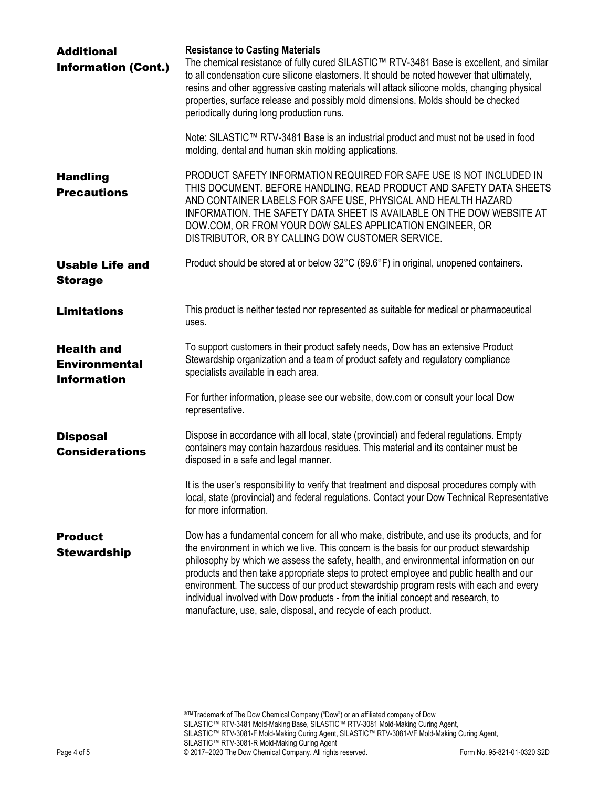| <b>Additional</b><br><b>Information (Cont.)</b>                 | <b>Resistance to Casting Materials</b><br>The chemical resistance of fully cured SILASTIC™ RTV-3481 Base is excellent, and similar<br>to all condensation cure silicone elastomers. It should be noted however that ultimately,<br>resins and other aggressive casting materials will attack silicone molds, changing physical<br>properties, surface release and possibly mold dimensions. Molds should be checked<br>periodically during long production runs.                                                                                                                                                         |
|-----------------------------------------------------------------|--------------------------------------------------------------------------------------------------------------------------------------------------------------------------------------------------------------------------------------------------------------------------------------------------------------------------------------------------------------------------------------------------------------------------------------------------------------------------------------------------------------------------------------------------------------------------------------------------------------------------|
|                                                                 | Note: SILASTIC™ RTV-3481 Base is an industrial product and must not be used in food<br>molding, dental and human skin molding applications.                                                                                                                                                                                                                                                                                                                                                                                                                                                                              |
| <b>Handling</b><br><b>Precautions</b>                           | PRODUCT SAFETY INFORMATION REQUIRED FOR SAFE USE IS NOT INCLUDED IN<br>THIS DOCUMENT. BEFORE HANDLING, READ PRODUCT AND SAFETY DATA SHEETS<br>AND CONTAINER LABELS FOR SAFE USE, PHYSICAL AND HEALTH HAZARD<br>INFORMATION. THE SAFETY DATA SHEET IS AVAILABLE ON THE DOW WEBSITE AT<br>DOW.COM, OR FROM YOUR DOW SALES APPLICATION ENGINEER, OR<br>DISTRIBUTOR, OR BY CALLING DOW CUSTOMER SERVICE.                                                                                                                                                                                                                     |
| <b>Usable Life and</b><br><b>Storage</b>                        | Product should be stored at or below 32°C (89.6°F) in original, unopened containers.                                                                                                                                                                                                                                                                                                                                                                                                                                                                                                                                     |
| <b>Limitations</b>                                              | This product is neither tested nor represented as suitable for medical or pharmaceutical<br>uses.                                                                                                                                                                                                                                                                                                                                                                                                                                                                                                                        |
| <b>Health and</b><br><b>Environmental</b><br><b>Information</b> | To support customers in their product safety needs, Dow has an extensive Product<br>Stewardship organization and a team of product safety and regulatory compliance<br>specialists available in each area.                                                                                                                                                                                                                                                                                                                                                                                                               |
|                                                                 | For further information, please see our website, dow.com or consult your local Dow<br>representative.                                                                                                                                                                                                                                                                                                                                                                                                                                                                                                                    |
| <b>Disposal</b><br><b>Considerations</b>                        | Dispose in accordance with all local, state (provincial) and federal regulations. Empty<br>containers may contain hazardous residues. This material and its container must be<br>disposed in a safe and legal manner.                                                                                                                                                                                                                                                                                                                                                                                                    |
|                                                                 | It is the user's responsibility to verify that treatment and disposal procedures comply with<br>local, state (provincial) and federal regulations. Contact your Dow Technical Representative<br>for more information.                                                                                                                                                                                                                                                                                                                                                                                                    |
| <b>Product</b><br><b>Stewardship</b>                            | Dow has a fundamental concern for all who make, distribute, and use its products, and for<br>the environment in which we live. This concern is the basis for our product stewardship<br>philosophy by which we assess the safety, health, and environmental information on our<br>products and then take appropriate steps to protect employee and public health and our<br>environment. The success of our product stewardship program rests with each and every<br>individual involved with Dow products - from the initial concept and research, to<br>manufacture, use, sale, disposal, and recycle of each product. |